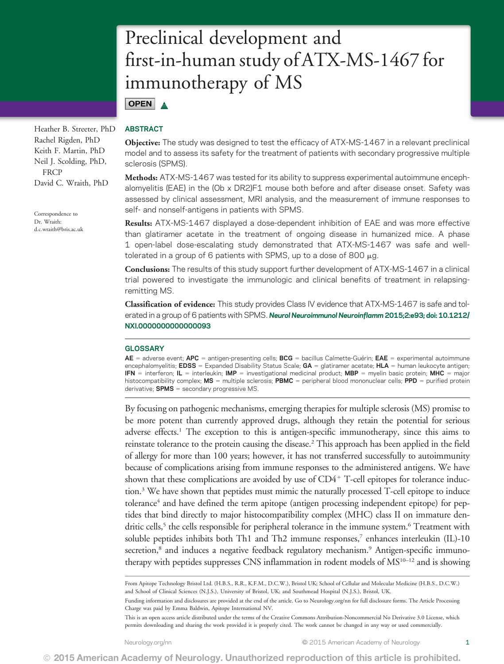# Preclinical development and first-in-human study of ATX-MS-1467 for immunotherapy of MS OPEN A

Heather B. Streeter, PhD Rachel Rigden, PhD Keith F. Martin, PhD Neil J. Scolding, PhD, **FRCP** David C. Wraith, PhD

Correspondence to Dr. Wraith: [d.c.wraith@bris.ac.uk](mailto:d.c.wraith@bris.ac.uk)

## ABSTRACT

Objective: The study was designed to test the efficacy of ATX-MS-1467 in a relevant preclinical model and to assess its safety for the treatment of patients with secondary progressive multiple sclerosis (SPMS).

Methods: ATX-MS-1467 was tested for its ability to suppress experimental autoimmune encephalomyelitis (EAE) in the (Ob x DR2)F1 mouse both before and after disease onset. Safety was assessed by clinical assessment, MRI analysis, and the measurement of immune responses to self- and nonself-antigens in patients with SPMS.

Results: ATX-MS-1467 displayed a dose-dependent inhibition of EAE and was more effective than glatiramer acetate in the treatment of ongoing disease in humanized mice. A phase 1 open-label dose-escalating study demonstrated that ATX-MS-1467 was safe and welltolerated in a group of 6 patients with SPMS, up to a dose of 800  $\mu$ g.

Conclusions: The results of this study support further development of ATX-MS-1467 in a clinical trial powered to investigate the immunologic and clinical benefits of treatment in relapsingremitting MS.

Classification of evidence: This study provides Class IV evidence that ATX-MS-1467 is safe and tolerated in a group of 6 patients with SPMS. Neurol Neuroimmunol Neuroinflamm 2015;2:e93; doi: 10.1212/ NXI.0000000000000093

### **GLOSSARY**

 $AE =$  adverse event;  $APC =$  antigen-presenting cells;  $BCG =$  bacillus Calmette-Guérin;  $EAE =$  experimental autoimmune encephalomyelitis; EDSS = Expanded Disability Status Scale; GA = glatiramer acetate; HLA = human leukocyte antigen; IFN = interferon; IL = interleukin; IMP = investigational medicinal product; MBP = myelin basic protein; MHC = major histocompatibility complex;  $MS =$  multiple sclerosis; PBMC = peripheral blood mononuclear cells; PPD = purified protein derivative;  $SPMS =$  secondary progressive MS.

By focusing on pathogenic mechanisms, emerging therapies for multiple sclerosis (MS) promise to be more potent than currently approved drugs, although they retain the potential for serious adverse effects.<sup>1</sup> The exception to this is antigen-specific immunotherapy, since this aims to reinstate tolerance to the protein causing the disease.2 This approach has been applied in the field of allergy for more than 100 years; however, it has not transferred successfully to autoimmunity because of complications arising from immune responses to the administered antigens. We have shown that these complications are avoided by use of  $CD4^+$  T-cell epitopes for tolerance induction.3 We have shown that peptides must mimic the naturally processed T-cell epitope to induce tolerance<sup>4</sup> and have defined the term apitope (antigen processing independent epitope) for peptides that bind directly to major histocompatibility complex (MHC) class II on immature dendritic cells,<sup>5</sup> the cells responsible for peripheral tolerance in the immune system.<sup>6</sup> Treatment with soluble peptides inhibits both Th1 and Th2 immune responses,<sup>7</sup> enhances interleukin (IL)-10 secretion,<sup>8</sup> and induces a negative feedback regulatory mechanism.<sup>9</sup> Antigen-specific immunotherapy with peptides suppresses CNS inflammation in rodent models of MS<sup>10-12</sup> and is showing

From Apitope Technology Bristol Ltd. (H.B.S., R.R., K.F.M., D.C.W.), Bristol UK; School of Cellular and Molecular Medicine (H.B.S., D.C.W.) and School of Clinical Sciences (N.J.S.), University of Bristol, UK; and Southmead Hospital (N.J.S.), Bristol, UK.

Funding information and disclosures are provided at the end of the article. Go to [Neurology.org/nn](http://nn.neurology.org/lookup/doi/10.1212/NXI.0000000000000093) for full disclosure forms. The Article Processing Charge was paid by Emma Baldwin, Apitope International NV.

This is an open access article distributed under the terms of the Creative Commons Attribution-Noncommercial No Derivative 3.0 License, which permits downloading and sharing the work provided it is properly cited. The work cannot be changed in any way or used commercially.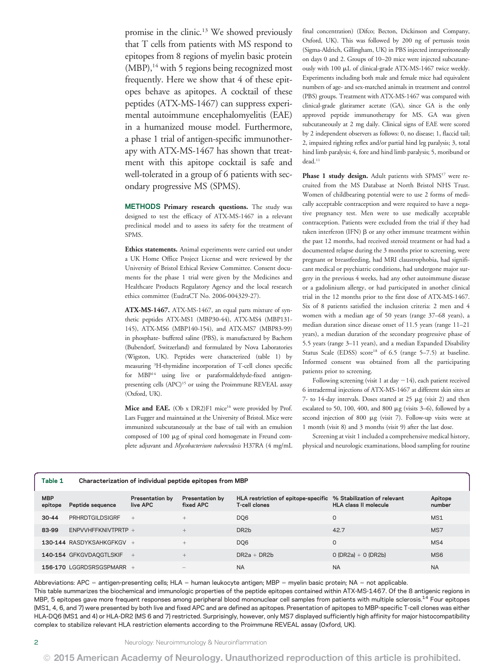promise in the clinic.<sup>13</sup> We showed previously that T cells from patients with MS respond to epitopes from 8 regions of myelin basic protein  $(MBP)$ ,<sup>14</sup> with 5 regions being recognized most frequently. Here we show that 4 of these epitopes behave as apitopes. A cocktail of these peptides (ATX-MS-1467) can suppress experimental autoimmune encephalomyelitis (EAE) in a humanized mouse model. Furthermore, a phase 1 trial of antigen-specific immunotherapy with ATX-MS-1467 has shown that treatment with this apitope cocktail is safe and well-tolerated in a group of 6 patients with secondary progressive MS (SPMS).

METHODS Primary research questions. The study was designed to test the efficacy of ATX-MS-1467 in a relevant preclinical model and to assess its safety for the treatment of SPMS.

Ethics statements. Animal experiments were carried out under a UK Home Office Project License and were reviewed by the University of Bristol Ethical Review Committee. Consent documents for the phase 1 trial were given by the Medicines and Healthcare Products Regulatory Agency and the local research ethics committee (EudraCT No. 2006-004329-27).

ATX-MS-1467. ATX-MS-1467, an equal parts mixture of synthetic peptides ATX-MS1 (MBP30-44), ATX-MS4 (MBP131- 145), ATX-MS6 (MBP140-154), and ATX-MS7 (MBP83-99) in phosphate- buffered saline (PBS), is manufactured by Bachem (Bubendorf, Switzerland) and formulated by Nova Laboratories (Wigston, UK). Peptides were characterized (table 1) by measuring <sup>3</sup> H-thymidine incorporation of T-cell clones specific for MBP14 using live or paraformaldehyde-fixed antigenpresenting cells (APC)<sup>15</sup> or using the Proimmune REVEAL assay (Oxford, UK).

Mice and EAE. (Ob x DR2)F1 mice<sup>16</sup> were provided by Prof. Lars Fugger and maintained at the University of Bristol. Mice were immunized subcutaneously at the base of tail with an emulsion composed of 100 mg of spinal cord homogenate in Freund complete adjuvant and Mycobacterium tuberculosis H37RA (4 mg/mL final concentration) (Difco; Becton, Dickinson and Company, Oxford, UK). This was followed by 200 ng of pertussis toxin (Sigma-Aldrich, Gillingham, UK) in PBS injected intraperitoneally on days 0 and 2. Groups of 10–20 mice were injected subcutaneously with 100 µL of clinical-grade ATX-MS-1467 twice weekly. Experiments including both male and female mice had equivalent numbers of age- and sex-matched animals in treatment and control (PBS) groups. Treatment with ATX-MS-1467 was compared with clinical-grade glatiramer acetate (GA), since GA is the only approved peptide immunotherapy for MS. GA was given subcutaneously at 2 mg daily. Clinical signs of EAE were scored by 2 independent observers as follows: 0, no disease; 1, flaccid tail; 2, impaired righting reflex and/or partial hind leg paralysis; 3, total hind limb paralysis; 4, fore and hind limb paralysis; 5, moribund or dead.<sup>11</sup>

Phase 1 study design. Adult patients with SPMS<sup>17</sup> were recruited from the MS Database at North Bristol NHS Trust. Women of childbearing potential were to use 2 forms of medically acceptable contraception and were required to have a negative pregnancy test. Men were to use medically acceptable contraception. Patients were excluded from the trial if they had taken interferon (IFN)  $\beta$  or any other immune treatment within the past 12 months, had received steroid treatment or had had a documented relapse during the 3 months prior to screening, were pregnant or breastfeeding, had MRI claustrophobia, had significant medical or psychiatric conditions, had undergone major surgery in the previous 4 weeks, had any other autoimmune disease or a gadolinium allergy, or had participated in another clinical trial in the 12 months prior to the first dose of ATX-MS-1467. Six of 8 patients satisfied the inclusion criteria: 2 men and 4 women with a median age of 50 years (range 37–68 years), a median duration since disease onset of 11.5 years (range 11–21 years), a median duration of the secondary progressive phase of 5.5 years (range 3–11 years), and a median Expanded Disability Status Scale (EDSS) score<sup>18</sup> of 6.5 (range 5-7.5) at baseline. Informed consent was obtained from all the participating patients prior to screening.

Following screening (visit 1 at day  $-14$ ), each patient received 6 intradermal injections of ATX-MS-1467 at different skin sites at  $7-$  to 14-day intervals. Doses started at 25  $\mu$ g (visit 2) and then escalated to 50, 100, 400, and 800  $\mu$ g (visits 3-6), followed by a second injection of 800 µg (visit 7). Follow-up visits were at 1 month (visit 8) and 3 months (visit 9) after the last dose.

Screening at visit 1 included a comprehensive medical history, physical and neurologic examinations, blood sampling for routine

| Table 1               | Characterization of individual peptide epitopes from MBP |                             |                                     |                                                                                  |                              |                   |
|-----------------------|----------------------------------------------------------|-----------------------------|-------------------------------------|----------------------------------------------------------------------------------|------------------------------|-------------------|
| <b>MBP</b><br>epitope | Peptide sequence                                         | Presentation by<br>live APC | <b>Presentation by</b><br>fixed APC | HLA restriction of epitope-specific % Stabilization of relevant<br>T-cell clones | <b>HLA class II molecule</b> | Apitope<br>number |
| $30 - 44$             | <b>PRHRDTGILDSIGRF</b>                                   | $+$                         | $^{+}$                              | DQ <sub>6</sub>                                                                  | $\Omega$                     | MS <sub>1</sub>   |
| 83-99                 | $ENPVVHFFKNIVTPRTP +$                                    |                             | $^{+}$                              | DR <sub>2</sub> b                                                                | 42.7                         | MS7               |
|                       | 130-144 RASDYKSAHKGFKGV +                                |                             | $^{+}$                              | DQ <sub>6</sub>                                                                  | $\Omega$                     | MS4               |
|                       | 140-154 GFKGVDAQGTLSKIF                                  | $+$                         | $^{+}$                              | $DR2a + DR2b$                                                                    | $0$ (DR2a) + 0 (DR2b)        | MS <sub>6</sub>   |
|                       | 156-170 LGGRDSRSGSPMARR $+$                              |                             |                                     | <b>NA</b>                                                                        | <b>NA</b>                    | <b>NA</b>         |

Abbreviations: APC = antigen-presenting cells; HLA = human leukocyte antigen; MBP = myelin basic protein; NA = not applicable. This table summarizes the biochemical and immunologic properties of the peptide epitopes contained within ATX-MS-1467. Of the 8 antigenic regions in MBP, 5 epitopes gave more frequent responses among peripheral blood mononuclear cell samples from patients with multiple sclerosis.<sup>14</sup> Four epitopes (MS1, 4, 6, and 7) were presented by both live and fixed APC and are defined as apitopes. Presentation of apitopes to MBP-specific T-cell clones was either HLA-DQ6 (MS1 and 4) or HLA-DR2 (MS 6 and 7) restricted. Surprisingly, however, only MS7 displayed sufficiently high affinity for major histocompatibility complex to stabilize relevant HLA restriction elements according to the Proimmune REVEAL assay (Oxford, UK).

### 2 Neurology: Neuroimmunology & Neuroinflammation

# $\odot$  2015 American Academy of Neurology. Unauthorized reproduction of this article is prohibited.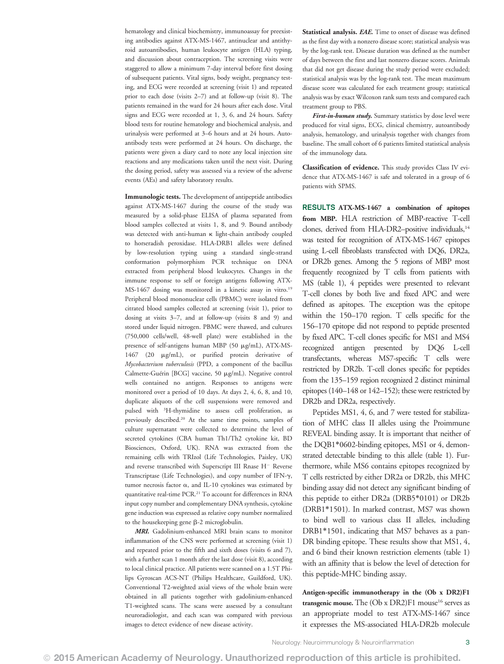hematology and clinical biochemistry, immunoassay for preexisting antibodies against ATX-MS-1467, antinuclear and antithyroid autoantibodies, human leukocyte antigen (HLA) typing, and discussion about contraception. The screening visits were staggered to allow a minimum 7-day interval before first dosing of subsequent patients. Vital signs, body weight, pregnancy testing, and ECG were recorded at screening (visit 1) and repeated prior to each dose (visits 2–7) and at follow-up (visit 8). The patients remained in the ward for 24 hours after each dose. Vital signs and ECG were recorded at 1, 3, 6, and 24 hours. Safety blood tests for routine hematology and biochemical analysis, and urinalysis were performed at 3–6 hours and at 24 hours. Autoantibody tests were performed at 24 hours. On discharge, the patients were given a diary card to note any local injection site reactions and any medications taken until the next visit. During the dosing period, safety was assessed via a review of the adverse events (AEs) and safety laboratory results.

Immunologic tests. The development of antipeptide antibodies against ATX-MS-1467 during the course of the study was measured by a solid-phase ELISA of plasma separated from blood samples collected at visits 1, 8, and 9. Bound antibody was detected with anti-human k light-chain antibody coupled to horseradish peroxidase. HLA-DRB1 alleles were defined by low-resolution typing using a standard single-strand conformation polymorphism PCR technique on DNA extracted from peripheral blood leukocytes. Changes in the immune response to self or foreign antigens following ATX-MS-1467 dosing was monitored in a kinetic assay in vitro.<sup>19</sup> Peripheral blood mononuclear cells (PBMC) were isolated from citrated blood samples collected at screening (visit 1), prior to dosing at visits 3–7, and at follow-up (visits 8 and 9) and stored under liquid nitrogen. PBMC were thawed, and cultures (750,000 cells/well, 48-well plate) were established in the presence of self-antigens human MBP (50 µg/mL), ATX-MS-1467 (20 mg/mL), or purified protein derivative of Mycobacterium tuberculosis (PPD, a component of the bacillus Calmette-Guérin [BCG] vaccine, 50 mg/mL). Negative control wells contained no antigen. Responses to antigens were monitored over a period of 10 days. At days 2, 4, 6, 8, and 10, duplicate aliquots of the cell suspensions were removed and pulsed with <sup>3</sup> H-thymidine to assess cell proliferation, as previously described.20 At the same time points, samples of culture supernatant were collected to determine the level of secreted cytokines (CBA human Th1/Th2 cytokine kit, BD Biosciences, Oxford, UK). RNA was extracted from the remaining cells with TRIzol (Life Technologies, Paisley, UK) and reverse transcribed with Superscript III Rnase  $H^-$  Reverse Transcriptase (Life Technologies), and copy number of IFN- $\gamma$ , tumor necrosis factor  $\alpha$ , and IL-10 cytokines was estimated by quantitative real-time PCR.21 To account for differences in RNA input copy number and complementary DNA synthesis, cytokine gene induction was expressed as relative copy number normalized to the housekeeping gene  $\beta$ -2 microglobulin.

MRI. Gadolinium-enhanced MRI brain scans to monitor inflammation of the CNS were performed at screening (visit 1) and repeated prior to the fifth and sixth doses (visits 6 and 7), with a further scan 1 month after the last dose (visit 8), according to local clinical practice. All patients were scanned on a 1.5T Philips Gyroscan ACS-NT (Philips Healthcare, Guildford, UK). Conventional T2-weighted axial views of the whole brain were obtained in all patients together with gadolinium-enhanced T1-weighted scans. The scans were assessed by a consultant neuroradiologist, and each scan was compared with previous images to detect evidence of new disease activity.

Statistical analysis. EAE. Time to onset of disease was defined as the first day with a nonzero disease score; statistical analysis was by the log-rank test. Disease duration was defined as the number of days between the first and last nonzero disease scores. Animals that did not get disease during the study period were excluded; statistical analysis was by the log-rank test. The mean maximum disease score was calculated for each treatment group; statistical analysis was by exact Wilcoxon rank sum tests and compared each treatment group to PBS.

First-in-human study. Summary statistics by dose level were produced for vital signs, ECG, clinical chemistry, autoantibody analysis, hematology, and urinalysis together with changes from baseline. The small cohort of 6 patients limited statistical analysis of the immunology data.

Classification of evidence. This study provides Class IV evidence that ATX-MS-1467 is safe and tolerated in a group of 6 patients with SPMS.

RESULTS ATX-MS-1467 a combination of apitopes from MBP. HLA restriction of MBP-reactive T-cell clones, derived from HLA-DR2-positive individuals,<sup>14</sup> was tested for recognition of ATX-MS-1467 epitopes using L-cell fibroblasts transfected with DQ6, DR2a, or DR2b genes. Among the 5 regions of MBP most frequently recognized by T cells from patients with MS (table 1), 4 peptides were presented to relevant T-cell clones by both live and fixed APC and were defined as apitopes. The exception was the epitope within the 150–170 region. T cells specific for the 156–170 epitope did not respond to peptide presented by fixed APC. T-cell clones specific for MS1 and MS4 recognized antigen presented by DQ6 L-cell transfectants, whereas MS7-specific T cells were restricted by DR2b. T-cell clones specific for peptides from the 135–159 region recognized 2 distinct minimal epitopes (140–148 or 142–152); these were restricted by DR2b and DR2a, respectively.

Peptides MS1, 4, 6, and 7 were tested for stabilization of MHC class II alleles using the Proimmune REVEAL binding assay. It is important that neither of the DQB1\*0602-binding epitopes, MS1 or 4, demonstrated detectable binding to this allele (table 1). Furthermore, while MS6 contains epitopes recognized by T cells restricted by either DR2a or DR2b, this MHC binding assay did not detect any significant binding of this peptide to either DR2a (DRB5\*0101) or DR2b (DRB1\*1501). In marked contrast, MS7 was shown to bind well to various class II alleles, including DRB1\*1501, indicating that MS7 behaves as a pan-DR binding epitope. These results show that MS1, 4, and 6 bind their known restriction elements (table 1) with an affinity that is below the level of detection for this peptide-MHC binding assay.

Antigen-specific immunotherapy in the (Ob x DR2)F1 transgenic mouse. The  $(Ob x DR2)F1$  mouse<sup>16</sup> serves as an appropriate model to test ATX-MS-1467 since it expresses the MS-associated HLA-DR2b molecule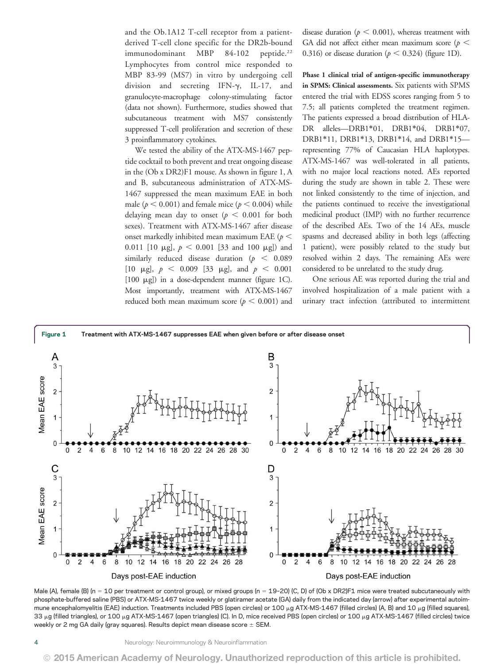and the Ob.1A12 T-cell receptor from a patientderived T-cell clone specific for the DR2b-bound immunodominant MBP 84-102 peptide.<sup>22</sup> Lymphocytes from control mice responded to MBP 83-99 (MS7) in vitro by undergoing cell division and secreting IFN- $\gamma$ , IL-17, and granulocyte-macrophage colony-stimulating factor (data not shown). Furthermore, studies showed that subcutaneous treatment with MS7 consistently suppressed T-cell proliferation and secretion of these 3 proinflammatory cytokines.

We tested the ability of the ATX-MS-1467 peptide cocktail to both prevent and treat ongoing disease in the (Ob x DR2)F1 mouse. As shown in figure 1, A and B, subcutaneous administration of ATX-MS-1467 suppressed the mean maximum EAE in both male ( $p < 0.001$ ) and female mice ( $p < 0.004$ ) while delaying mean day to onset ( $p < 0.001$  for both sexes). Treatment with ATX-MS-1467 after disease onset markedly inhibited mean maximum EAE ( $p <$ 0.011 [10  $\mu$ g],  $p < 0.001$  [33 and 100  $\mu$ g]) and similarly reduced disease duration ( $p < 0.089$ ) [10  $\mu$ g],  $p \le 0.009$  [33  $\mu$ g], and  $p \le 0.001$ [100 mg]) in a dose-dependent manner (figure 1C). Most importantly, treatment with ATX-MS-1467 reduced both mean maximum score ( $p < 0.001$ ) and disease duration ( $p < 0.001$ ), whereas treatment with GA did not affect either mean maximum score ( $p <$ 0.316) or disease duration ( $p < 0.324$ ) (figure 1D).

Phase 1 clinical trial of antigen-specific immunotherapy in SPMS: Clinical assessments. Six patients with SPMS entered the trial with EDSS scores ranging from 5 to 7.5; all patients completed the treatment regimen. The patients expressed a broad distribution of HLA-DR alleles—DRB1\*01, DRB1\*04, DRB1\*07, DRB1\*11, DRB1\*13, DRB1\*14, and DRB1\*15 representing 77% of Caucasian HLA haplotypes. ATX-MS-1467 was well-tolerated in all patients, with no major local reactions noted. AEs reported during the study are shown in table 2. These were not linked consistently to the time of injection, and the patients continued to receive the investigational medicinal product (IMP) with no further recurrence of the described AEs. Two of the 14 AEs, muscle spasms and decreased ability in both legs (affecting 1 patient), were possibly related to the study but resolved within 2 days. The remaining AEs were considered to be unrelated to the study drug.

One serious AE was reported during the trial and involved hospitalization of a male patient with a urinary tract infection (attributed to intermittent



Male (A), female (B) (n = 10 per treatment or control group), or mixed groups (n = 19-20) (C, D) of (Ob x DR2)F1 mice were treated subcutaneously with phosphate-buffered saline (PBS) or ATX-MS-1467 twice weekly or glatiramer acetate (GA) daily from the indicated day (arrow) after experimental autoimmune encephalomyelitis (EAE) induction. Treatments included PBS (open circles) or 100 µg ATX-MS-1467 (filled circles) (A, B) and 10 µg (filled squares), 33 µg (filled triangles), or 100 µg ATX-MS-1467 (open triangles) (C). In D, mice received PBS (open circles) or 100 µg ATX-MS-1467 (filled circles) twice weekly or 2 mg GA daily (gray squares). Results depict mean disease score  $\pm$  SEM.

4 Neurology: Neuroimmunology & Neuroinflammation

© 2015 American Academy of Neurology. Unauthorized reproduction of this article is prohibited.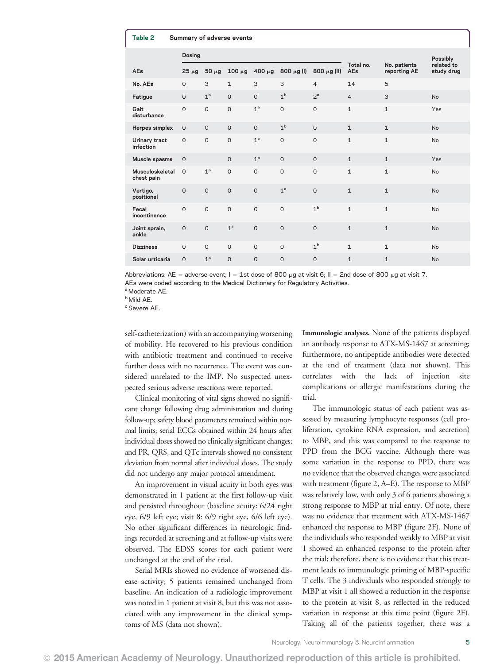| Table 2<br>Summary of adverse events |            |                |                |                |                 |                |                         |                              |                          |
|--------------------------------------|------------|----------------|----------------|----------------|-----------------|----------------|-------------------------|------------------------------|--------------------------|
|                                      | Dosing     |                |                |                |                 |                |                         |                              | Possibly                 |
| <b>AEs</b>                           | $25 \mu g$ | $50 \mu g$     | $100 \mu g$    | $400 \mu g$    | $800 \mu g$ (I) | 800 μg (II)    | Total no.<br><b>AEs</b> | No. patients<br>reporting AE | related to<br>study drug |
| No. AEs                              | $\circ$    | 3              | $\mathbf{1}$   | 3              | 3               | $\overline{4}$ | 14                      | 5                            |                          |
| Fatigue                              | $\circ$    | 1 <sup>a</sup> | $\circ$        | $\circ$        | 1 <sup>b</sup>  | $2^a$          | $\overline{4}$          | 3                            | <b>No</b>                |
| Gait<br>disturbance                  | $\circ$    | $\Omega$       | $\overline{0}$ | 1 <sup>a</sup> | $\Omega$        | $\Omega$       | $\mathbf{1}$            | $\mathbf{1}$                 | Yes                      |
| Herpes simplex                       | $\circ$    | $\circ$        | $\mathsf{O}$   | $\Omega$       | 1 <sup>b</sup>  | $\Omega$       | $\mathbf{1}$            | $\mathbf{1}$                 | <b>No</b>                |
| Urinary tract<br>infection           | 0          | $\Omega$       | $\mathsf{O}$   | 1 <sup>c</sup> | $\mathsf{O}$    | 0              | $\mathbf{1}$            | $\mathbf{1}$                 | No                       |
| Muscle spasms                        | $\circ$    |                | $\circ$        | 1 <sup>a</sup> | $\mathsf{O}$    | $\mathsf{O}$   | $\mathbf{1}$            | $\mathbf{1}$                 | Yes                      |
| Musculoskeletal<br>chest pain        | $\Omega$   | 1 <sup>a</sup> | $\Omega$       | $\Omega$       | $\Omega$        | $\Omega$       | $\mathbf{1}$            | $\mathbf{1}$                 | <b>No</b>                |
| Vertigo,<br>positional               | $\Omega$   | $\Omega$       | $\mathsf{O}$   | $\mathsf{O}$   | 1 <sup>a</sup>  | $\Omega$       | $\mathbf{1}$            | $\mathbf{1}$                 | <b>No</b>                |
| Fecal<br>incontinence                | $\circ$    | $\mathsf{O}$   | $\circ$        | $\mathsf{O}$   | $\circ$         | 1 <sup>b</sup> | $\mathbf{1}$            | $\mathbf{1}$                 | No                       |
| Joint sprain,<br>ankle               | $\circ$    | $\Omega$       | 1 <sup>a</sup> | $\circ$        | $\circ$         | $\Omega$       | $\mathbf{1}$            | $\mathbf{1}$                 | <b>No</b>                |
| <b>Dizziness</b>                     | $\circ$    | $\circ$        | $\mathsf{O}$   | $\circ$        | $\circ$         | 1 <sup>b</sup> | $\mathbf{1}$            | $\mathbf{1}$                 | No                       |
| Solar urticaria                      | $\circ$    | 1 <sup>a</sup> | $\circ$        | $\circ$        | $\circ$         | $\circ$        | $\mathbf{1}$            | $\mathbf{1}$                 | <b>No</b>                |

Abbreviations: AE = adverse event; I = 1st dose of 800  $\mu$ g at visit 6; II = 2nd dose of 800  $\mu$ g at visit 7. AEs were coded according to the Medical Dictionary for Regulatory Activities.

<sup>a</sup> Moderate AE.

<sup>b</sup> Mild AE.

<sup>c</sup> Severe AE.

self-catheterization) with an accompanying worsening of mobility. He recovered to his previous condition with antibiotic treatment and continued to receive further doses with no recurrence. The event was considered unrelated to the IMP. No suspected unexpected serious adverse reactions were reported.

Clinical monitoring of vital signs showed no significant change following drug administration and during follow-up; safety blood parameters remained within normal limits; serial ECGs obtained within 24 hours after individual doses showed no clinically significant changes; and PR, QRS, and QTc intervals showed no consistent deviation from normal after individual doses. The study did not undergo any major protocol amendment.

An improvement in visual acuity in both eyes was demonstrated in 1 patient at the first follow-up visit and persisted throughout (baseline acuity: 6/24 right eye, 6/9 left eye; visit 8: 6/9 right eye, 6/6 left eye). No other significant differences in neurologic findings recorded at screening and at follow-up visits were observed. The EDSS scores for each patient were unchanged at the end of the trial.

Serial MRIs showed no evidence of worsened disease activity; 5 patients remained unchanged from baseline. An indication of a radiologic improvement was noted in 1 patient at visit 8, but this was not associated with any improvement in the clinical symptoms of MS (data not shown).

Immunologic analyses. None of the patients displayed an antibody response to ATX-MS-1467 at screening; furthermore, no antipeptide antibodies were detected at the end of treatment (data not shown). This correlates with the lack of injection site complications or allergic manifestations during the trial.

The immunologic status of each patient was assessed by measuring lymphocyte responses (cell proliferation, cytokine RNA expression, and secretion) to MBP, and this was compared to the response to PPD from the BCG vaccine. Although there was some variation in the response to PPD, there was no evidence that the observed changes were associated with treatment (figure 2, A–E). The response to MBP was relatively low, with only 3 of 6 patients showing a strong response to MBP at trial entry. Of note, there was no evidence that treatment with ATX-MS-1467 enhanced the response to MBP (figure 2F). None of the individuals who responded weakly to MBP at visit 1 showed an enhanced response to the protein after the trial; therefore, there is no evidence that this treatment leads to immunologic priming of MBP-specific T cells. The 3 individuals who responded strongly to MBP at visit 1 all showed a reduction in the response to the protein at visit 8, as reflected in the reduced variation in response at this time point (figure 2F). Taking all of the patients together, there was a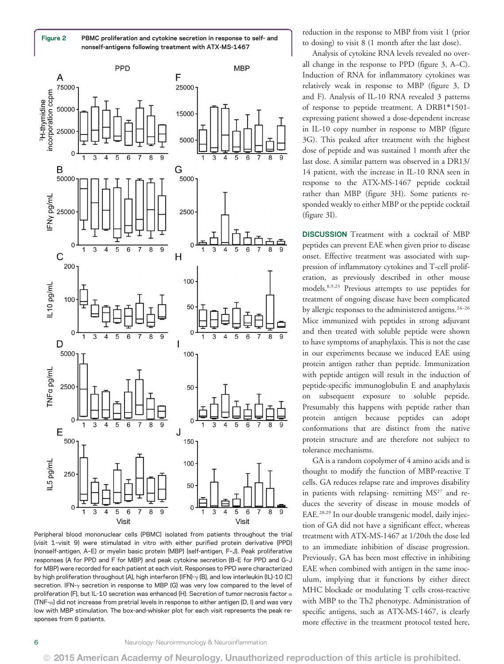Figure 2 PBMC proliferation and cytokine secretion in response to self- and nonself-antigens following treatment with ATX-MS-1467



Peripheral blood mononuclear cells (PBMC) isolated from patients throughout the trial (visit 1–visit 9) were stimulated in vitro with either purified protein derivative (PPD) (nonself-antigen, A–E) or myelin basic protein (MBP) (self-antigen, F–J). Peak proliferative responses (A for PPD and F for MBP) and peak cytokine secretion (B–E for PPD and G–J for MBP) were recorded for each patient at each visit. Responses to PPD were characterized by high proliferation throughout (A), high interferon (IFN)- $\gamma$  (B), and low interleukin (IL)-10 (C) secretion. IFN- $\gamma$  secretion in response to MBP (G) was very low compared to the level of proliferation (F), but IL-10 secretion was enhanced (H). Secretion of tumor necrosis factor  $\alpha$ (TNF- $\alpha$ ) did not increase from pretrial levels in response to either antigen (D, I) and was very low with MBP stimulation. The box-and-whisker plot for each visit represents the peak responses from 6 patients.

reduction in the response to MBP from visit 1 (prior to dosing) to visit 8 (1 month after the last dose).

Analysis of cytokine RNA levels revealed no overall change in the response to PPD (figure 3, A–C). Induction of RNA for inflammatory cytokines was relatively weak in response to MBP (figure 3, D and F). Analysis of IL-10 RNA revealed 3 patterns of response to peptide treatment. A DRB1\*1501 expressing patient showed a dose-dependent increase in IL-10 copy number in response to MBP (figure 3G). This peaked after treatment with the highest dose of peptide and was sustained 1 month after the last dose. A similar pattern was observed in a DR13/ 14 patient, with the increase in IL-10 RNA seen in response to the ATX-MS-1467 peptide cocktail rather than MBP (figure 3H). Some patients responded weakly to either MBP or the peptide cocktail (figure 3I).

DISCUSSION Treatment with a cocktail of MBP peptides can prevent EAE when given prior to disease onset. Effective treatment was associated with suppression of inflammatory cytokines and T-cell proliferation, as previously described in other mouse models.8,9,23 Previous attempts to use peptides for treatment of ongoing disease have been complicated by allergic responses to the administered antigens.<sup>24-26</sup> Mice immunized with peptides in strong adjuvant and then treated with soluble peptide were shown to have symptoms of anaphylaxis. This is not the case in our experiments because we induced EAE using protein antigen rather than peptide. Immunization with peptide antigen will result in the induction of peptide-specific immunoglobulin E and anaphylaxis on subsequent exposure to soluble peptide. Presumably this happens with peptide rather than protein antigen because peptides can adopt conformations that are distinct from the native protein structure and are therefore not subject to tolerance mechanisms.

GA is a random copolymer of 4 amino acids and is thought to modify the function of MBP-reactive T cells. GA reduces relapse rate and improves disability in patients with relapsing- remitting  $MS<sup>27</sup>$  and reduces the severity of disease in mouse models of EAE.28,29 In our double transgenic model, daily injection of GA did not have a significant effect, whereas treatment with ATX-MS-1467 at 1/20th the dose led to an immediate inhibition of disease progression. Previously, GA has been most effective in inhibiting EAE when combined with antigen in the same inoculum, implying that it functions by either direct MHC blockade or modulating T cells cross-reactive with MBP to the Th2 phenotype. Administration of specific antigens, such as ATX-MS-1467, is clearly more effective in the treatment protocol tested here,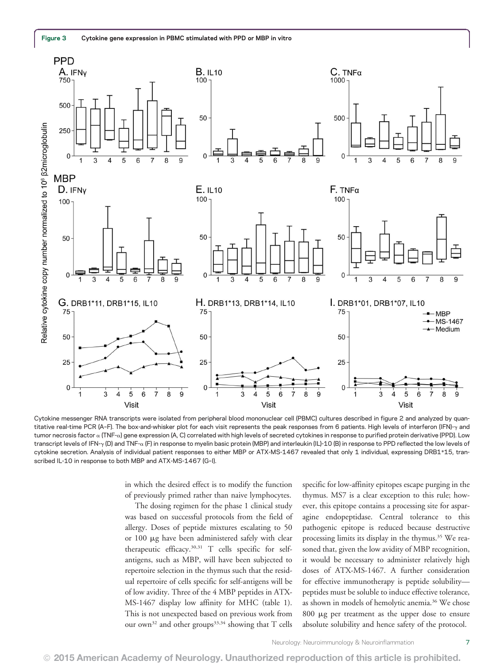

Cytokine messenger RNA transcripts were isolated from peripheral blood mononuclear cell (PBMC) cultures described in figure 2 and analyzed by quantitative real-time PCR (A-F). The box-and-whisker plot for each visit represents the peak responses from 6 patients. High levels of interferon (IFN)-y and tumor necrosis factor  $\alpha$  (TNF- $\alpha$ ) gene expression (A, C) correlated with high levels of secreted cytokines in response to purified protein derivative (PPD). Low transcript levels of IFN-y (D) and TNF-a (F) in response to myelin basic protein (MBP) and interleukin (IL)-10 (B) in response to PPD reflected the low levels of cytokine secretion. Analysis of individual patient responses to either MBP or ATX-MS-1467 revealed that only 1 individual, expressing DRB1\*15, transcribed IL-10 in response to both MBP and ATX-MS-1467 (G–I).

in which the desired effect is to modify the function of previously primed rather than naive lymphocytes.

The dosing regimen for the phase 1 clinical study was based on successful protocols from the field of allergy. Doses of peptide mixtures escalating to 50 or 100 mg have been administered safely with clear therapeutic efficacy.30,31 T cells specific for selfantigens, such as MBP, will have been subjected to repertoire selection in the thymus such that the residual repertoire of cells specific for self-antigens will be of low avidity. Three of the 4 MBP peptides in ATX-MS-1467 display low affinity for MHC (table 1). This is not unexpected based on previous work from our own<sup>32</sup> and other groups<sup>33,34</sup> showing that T cells

specific for low-affinity epitopes escape purging in the thymus. MS7 is a clear exception to this rule; however, this epitope contains a processing site for asparagine endopeptidase. Central tolerance to this pathogenic epitope is reduced because destructive processing limits its display in the thymus.<sup>35</sup> We reasoned that, given the low avidity of MBP recognition, it would be necessary to administer relatively high doses of ATX-MS-1467. A further consideration for effective immunotherapy is peptide solubility peptides must be soluble to induce effective tolerance, as shown in models of hemolytic anemia.<sup>36</sup> We chose 800 µg per treatment as the upper dose to ensure absolute solubility and hence safety of the protocol.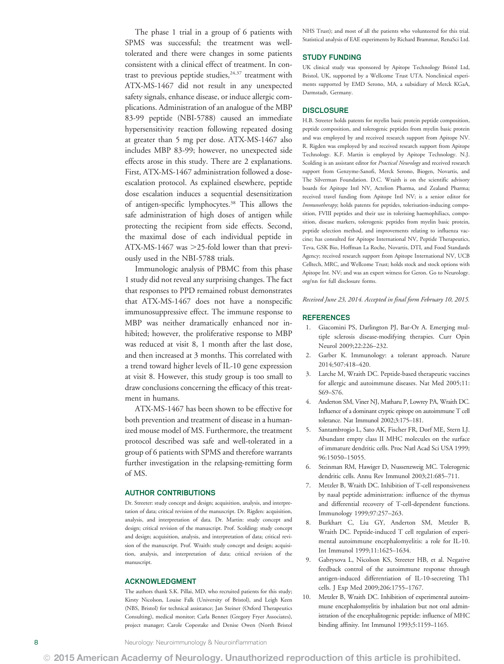The phase 1 trial in a group of 6 patients with SPMS was successful; the treatment was welltolerated and there were changes in some patients consistent with a clinical effect of treatment. In contrast to previous peptide studies,<sup>24,37</sup> treatment with ATX-MS-1467 did not result in any unexpected safety signals, enhance disease, or induce allergic complications. Administration of an analogue of the MBP 83-99 peptide (NBI-5788) caused an immediate hypersensitivity reaction following repeated dosing at greater than 5 mg per dose. ATX-MS-1467 also includes MBP 83-99; however, no unexpected side effects arose in this study. There are 2 explanations. First, ATX-MS-1467 administration followed a doseescalation protocol. As explained elsewhere, peptide dose escalation induces a sequential desensitization of antigen-specific lymphocytes.38 This allows the safe administration of high doses of antigen while protecting the recipient from side effects. Second, the maximal dose of each individual peptide in ATX-MS-1467 was  $>$ 25-fold lower than that previously used in the NBI-5788 trials.

Immunologic analysis of PBMC from this phase 1 study did not reveal any surprising changes. The fact that responses to PPD remained robust demonstrates that ATX-MS-1467 does not have a nonspecific immunosuppressive effect. The immune response to MBP was neither dramatically enhanced nor inhibited; however, the proliferative response to MBP was reduced at visit 8, 1 month after the last dose, and then increased at 3 months. This correlated with a trend toward higher levels of IL-10 gene expression at visit 8. However, this study group is too small to draw conclusions concerning the efficacy of this treatment in humans.

ATX-MS-1467 has been shown to be effective for both prevention and treatment of disease in a humanized mouse model of MS. Furthermore, the treatment protocol described was safe and well-tolerated in a group of 6 patients with SPMS and therefore warrants further investigation in the relapsing-remitting form of MS.

### AUTHOR CONTRIBUTIONS

Dr. Streeter: study concept and design; acquisition, analysis, and interpretation of data; critical revision of the manuscript. Dr. Rigden: acquisition, analysis, and interpretation of data. Dr. Martin: study concept and design; critical revision of the manuscript. Prof. Scolding: study concept and design; acquisition, analysis, and interpretation of data; critical revision of the manuscript. Prof. Wraith: study concept and design; acquisition, analysis, and interpretation of data; critical revision of the manuscript.

### ACKNOWLEDGMENT

The authors thank S.K. Pillai, MD, who recruited patients for this study; Kirsty Nicolson, Louise Falk (University of Bristol), and Leigh Keen (NBS, Bristol) for technical assistance; Jan Steiner (Oxford Therapeutics Consulting), medical monitor; Carla Bennet (Gregory Fryer Associates), project manager; Carole Copestake and Denise Owen (North Bristol NHS Trust); and most of all the patients who volunteered for this trial. Statistical analysis of EAE experiments by Richard Brammar, RenaSci Ltd.

### STUDY FUNDING

UK clinical study was sponsored by Apitope Technology Bristol Ltd, Bristol, UK, supported by a Wellcome Trust UTA. Nonclinical experiments supported by EMD Serono, MA, a subsidiary of Merck KGaA, Darmstadt, Germany.

### **DISCLOSURE**

H.B. Streeter holds patents for myelin basic protein peptide composition, peptide composition, and tolerogenic peptides from myelin basic protein and was employed by and received research support from Apitope NV. R. Rigden was employed by and received research support from Apitope Technology. K.F. Martin is employed by Apitope Technology. N.J. Scolding is an assistant editor for Practical Neurology and received research support from Genzyme-Sanofi, Merck Serono, Biogen, Novartis, and The Silverman Foundation. D.C. Wraith is on the scientific advisory boards for Apitope Intl NV, Actelion Pharma, and Zealand Pharma; received travel funding from Apitope Intl NV; is a senior editor for Immunotherapy; holds patents for peptides, tolerisation-inducing composition, FVIII peptides and their use in tolerising haemophiliacs, composition, disease markers, tolerogenic peptides from myelin basic protein, peptide selection method, and improvements relating to influenza vaccine; has consulted for Apitope International NV, Peptide Therapeutics, Teva, GSK Bio, Hoffman La Roche, Novartis, DTI, and Food Standards Agency; received research support from Apitope International NV, UCB Celltech, MRC, and Wellcome Trust; holds stock and stock options with Apitope Int. NV; and was an expert witness for Geron. Go to [Neurology.](http://nn.neurology.org/lookup/doi/10.1212/NXI.0000000000000093) [org/nn](http://nn.neurology.org/lookup/doi/10.1212/NXI.0000000000000093) for full disclosure forms.

Received June 23, 2014. Accepted in final form February 10, 2015.

### REFERENCES

- 1. Giacomini PS, Darlington PJ, Bar-Or A. Emerging multiple sclerosis disease-modifying therapies. Curr Opin Neurol 2009;22:226–232.
- 2. Garber K. Immunology: a tolerant approach. Nature 2014;507:418–420.
- 3. Larche M, Wraith DC. Peptide-based therapeutic vaccines for allergic and autoimmune diseases. Nat Med 2005;11: S69–S76.
- 4. Anderton SM, Viner NJ, Matharu P, Lowrey PA, Wraith DC. Influence of a dominant cryptic epitope on autoimmune T cell tolerance. Nat Immunol 2002;3:175–181.
- 5. Santambrogio L, Sato AK, Fischer FR, Dorf ME, Stern LJ. Abundant empty class II MHC molecules on the surface of immature dendritic cells. Proc Natl Acad Sci USA 1999; 96:15050–15055.
- 6. Steinman RM, Hawiger D, Nussenzweig MC. Tolerogenic dendritic cells. Annu Rev Immunol 2003;21:685–711.
- 7. Metzler B, Wraith DC. Inhibition of T-cell responsiveness by nasal peptide administration: influence of the thymus and differential recovery of T-cell-dependent functions. Immunology 1999;97:257–263.
- 8. Burkhart C, Liu GY, Anderton SM, Metzler B, Wraith DC. Peptide-induced T cell regulation of experimental autoimmune encephalomyelitis: a role for IL-10. Int Immunol 1999;11:1625–1634.
- 9. Gabrysova L, Nicolson KS, Streeter HB, et al. Negative feedback control of the autoimmune response through antigen-induced differentiation of IL-10-secreting Th1 cells. J Exp Med 2009;206:1755–1767.
- 10. Metzler B, Wraith DC. Inhibition of experimental autoimmune encephalomyelitis by inhalation but not oral administration of the encephalitogenic peptide: influence of MHC binding affinity. Int Immunol 1993;5:1159–1165.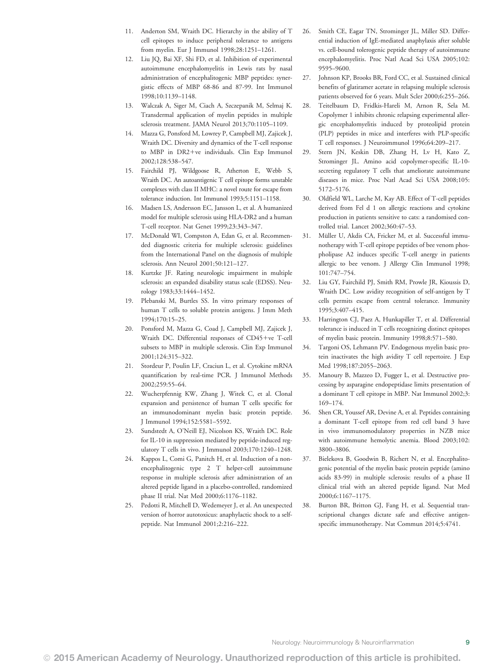- 11. Anderton SM, Wraith DC. Hierarchy in the ability of T cell epitopes to induce peripheral tolerance to antigens from myelin. Eur J Immunol 1998;28:1251–1261.
- 12. Liu JQ, Bai XF, Shi FD, et al. Inhibition of experimental autoimmune encephalomyelitis in Lewis rats by nasal administration of encephalitogenic MBP peptides: synergistic effects of MBP 68-86 and 87-99. Int Immunol 1998;10:1139–1148.
- 13. Walczak A, Siger M, Ciach A, Szczepanik M, Selmaj K. Transdermal application of myelin peptides in multiple sclerosis treatment. JAMA Neurol 2013;70:1105–1109.
- 14. Mazza G, Ponsford M, Lowrey P, Campbell MJ, Zajicek J, Wraith DC. Diversity and dynamics of the T-cell response to MBP in DR2+ve individuals. Clin Exp Immunol 2002;128:538–547.
- 15. Fairchild PJ, Wildgoose R, Atherton E, Webb S, Wraith DC. An autoantigenic T cell epitope forms unstable complexes with class II MHC: a novel route for escape from tolerance induction. Int Immunol 1993;5:1151–1158.
- 16. Madsen LS, Andersson EC, Jansson L, et al. A humanized model for multiple sclerosis using HLA-DR2 and a human T-cell receptor. Nat Genet 1999;23:343–347.
- 17. McDonald WI, Compston A, Edan G, et al. Recommended diagnostic criteria for multiple sclerosis: guidelines from the International Panel on the diagnosis of multiple sclerosis. Ann Neurol 2001;50:121–127.
- 18. Kurtzke JF. Rating neurologic impairment in multiple sclerosis: an expanded disability status scale (EDSS). Neurology 1983;33:1444–1452.
- 19. Plebanski M, Burtles SS. In vitro primary responses of human T cells to soluble protein antigens. J Imm Meth 1994;170:15–25.
- 20. Ponsford M, Mazza G, Coad J, Campbell MJ, Zajicek J, Wraith DC. Differential responses of CD45+ve T-cell subsets to MBP in multiple sclerosis. Clin Exp Immunol 2001;124:315–322.
- 21. Stordeur P, Poulin LF, Craciun L, et al. Cytokine mRNA quantification by real-time PCR. J Immunol Methods 2002;259:55–64.
- 22. Wucherpfennig KW, Zhang J, Witek C, et al. Clonal expansion and persistence of human T cells specific for an immunodominant myelin basic protein peptide. J Immunol 1994;152:5581–5592.
- 23. Sundstedt A, O'Neill EJ, Nicolson KS, Wraith DC. Role for IL-10 in suppression mediated by peptide-induced regulatory T cells in vivo. J Immunol 2003;170:1240–1248.
- 24. Kappos L, Comi G, Panitch H, et al. Induction of a nonencephalitogenic type 2 T helper-cell autoimmune response in multiple sclerosis after administration of an altered peptide ligand in a placebo-controlled, randomized phase II trial. Nat Med 2000;6:1176–1182.
- 25. Pedotti R, Mitchell D, Wedemeyer J, et al. An unexpected version of horror autotoxicus: anaphylactic shock to a selfpeptide. Nat Immunol 2001;2:216–222.
- 26. Smith CE, Eagar TN, Strominger JL, Miller SD. Differential induction of IgE-mediated anaphylaxis after soluble vs. cell-bound tolerogenic peptide therapy of autoimmune encephalomyelitis. Proc Natl Acad Sci USA 2005;102: 9595–9600.
- 27. Johnson KP, Brooks BR, Ford CC, et al. Sustained clinical benefits of glatiramer acetate in relapsing multiple sclerosis patients observed for 6 years. Mult Scler 2000;6:255–266.
- 28. Teitelbaum D, Fridkis-Hareli M, Arnon R, Sela M. Copolymer 1 inhibits chronic relapsing experimental allergic encephalomyelitis induced by proteolipid protein (PLP) peptides in mice and interferes with PLP-specific T cell responses. J Neuroimmunol 1996;64:209–217.
- 29. Stern JN, Keskin DB, Zhang H, Lv H, Kato Z, Strominger JL. Amino acid copolymer-specific IL-10 secreting regulatory T cells that ameliorate autoimmune diseases in mice. Proc Natl Acad Sci USA 2008;105: 5172–5176.
- 30. Oldfield WL, Larche M, Kay AB. Effect of T-cell peptides derived from Fel d 1 on allergic reactions and cytokine production in patients sensitive to cats: a randomised controlled trial. Lancet 2002;360:47–53.
- 31. Müller U, Akdis CA, Fricker M, et al. Successful immunotherapy with T-cell epitope peptides of bee venom phospholipase A2 induces specific T-cell anergy in patients allergic to bee venom. J Allergy Clin Immunol 1998; 101:747–754.
- 32. Liu GY, Fairchild PJ, Smith RM, Prowle JR, Kioussis D, Wraith DC. Low avidity recognition of self-antigen by T cells permits escape from central tolerance. Immunity 1995;3:407–415.
- 33. Harrington CJ, Paez A, Hunkapiller T, et al. Differential tolerance is induced in T cells recognizing distinct epitopes of myelin basic protein. Immunity 1998;8:571–580.
- 34. Targoni OS, Lehmann PV. Endogenous myelin basic protein inactivates the high avidity T cell repertoire. J Exp Med 1998;187:2055–2063.
- 35. Manoury B, Mazzeo D, Fugger L, et al. Destructive processing by asparagine endopeptidase limits presentation of a dominant T cell epitope in MBP. Nat Immunol 2002;3: 169–174.
- 36. Shen CR, Youssef AR, Devine A, et al. Peptides containing a dominant T-cell epitope from red cell band 3 have in vivo immunomodulatory properties in NZB mice with autoimmune hemolytic anemia. Blood 2003;102: 3800–3806.
- 37. Bielekova B, Goodwin B, Richert N, et al. Encephalitogenic potential of the myelin basic protein peptide (amino acids 83-99) in multiple sclerosis: results of a phase II clinical trial with an altered peptide ligand. Nat Med 2000;6:1167–1175.
- 38. Burton BR, Britton GJ, Fang H, et al. Sequential transcriptional changes dictate safe and effective antigenspecific immunotherapy. Nat Commun 2014;5:4741.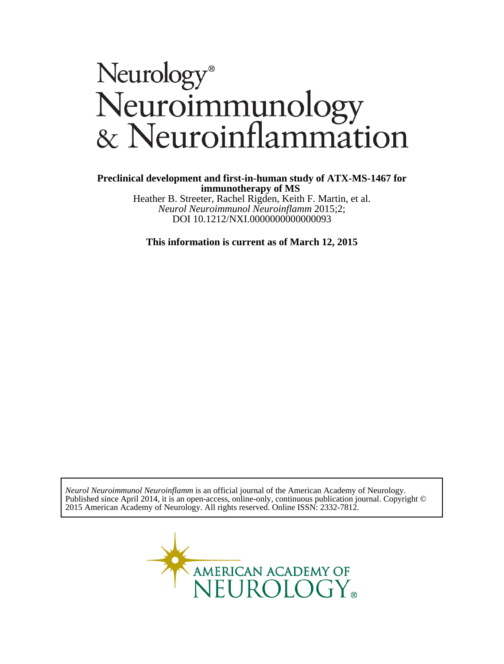# Neurology®<br>Neuroimmunology<br>& Neuroinflammation

DOI 10.1212/NXI.0000000000000093 *Neurol Neuroimmunol Neuroinflamm* 2015;2; Heather B. Streeter, Rachel Rigden, Keith F. Martin, et al. **immunotherapy of MS Preclinical development and first-in-human study of ATX-MS-1467 for**

**This information is current as of March 12, 2015**

2015 American Academy of Neurology. All rights reserved. Online ISSN: 2332-7812. Published since April 2014, it is an open-access, online-only, continuous publication journal. Copyright © *Neurol Neuroimmunol Neuroinflamm* is an official journal of the American Academy of Neurology.